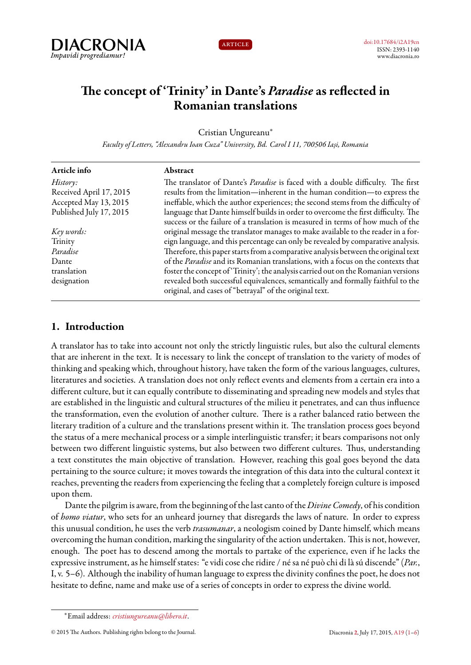



# **The concept of 'Trinity' in Dante's** *Paradise* **as reflected in Romanian translations**

Cristian Ungureanu*<sup>∗</sup>*

*Faculty of Letters, "Alexandru Ioan Cuza" University, Bd. Carol I 11, 700506 Iași, Romania*

| Article info            | Abstract                                                                                                                                    |
|-------------------------|---------------------------------------------------------------------------------------------------------------------------------------------|
| History:                | The translator of Dante's Paradise is faced with a double difficulty. The first                                                             |
| Received April 17, 2015 | results from the limitation—inherent in the human condition—to express the                                                                  |
| Accepted May 13, 2015   | ineffable, which the author experiences; the second stems from the difficulty of                                                            |
| Published July 17, 2015 | language that Dante himself builds in order to overcome the first difficulty. The                                                           |
|                         | success or the failure of a translation is measured in terms of how much of the                                                             |
| Key words:              | original message the translator manages to make available to the reader in a for-                                                           |
| Trinity                 | eign language, and this percentage can only be revealed by comparative analysis.                                                            |
| Paradise                | Therefore, this paper starts from a comparative analysis between the original text                                                          |
| Dante                   | of the Paradise and its Romanian translations, with a focus on the contexts that                                                            |
| translation             | foster the concept of 'Trinity'; the analysis carried out on the Romanian versions                                                          |
| designation             | revealed both successful equivalences, semantically and formally faithful to the<br>original, and cases of "betrayal" of the original text. |
|                         |                                                                                                                                             |

# <span id="page-0-0"></span>**1. Introduction**

A translator has to take into account not only the strictly linguistic rules, but also the cultural elements that are inherent in the text. It is necessary to link the concept of translation to the variety of modes of thinking and speaking which, throughout history, have taken the form of the various languages, cultures, literatures and societies. A translation does not only reflect events and elements from a certain era into a different culture, but it can equally contribute to disseminating and spreading new models and styles that are established in the linguistic and cultural structures of the milieu it penetrates, and can thus influence the transformation, even the evolution of another culture. There is a rather balanced ratio between the literary tradition of a culture and the translations present within it. The translation process goes beyond the status of a mere mechanical process or a simple interlinguistic transfer; it bears comparisons not only between two different linguistic systems, but also between two different cultures. Thus, understanding a text constitutes the main objective of translation. However, reaching this goal goes beyond the data pertaining to the source culture; it moves towards the integration of this data into the cultural context it reaches, preventing the readers from experiencing the feeling that a completely foreign culture is imposed upon them.

Dante the pilgrim is aware, from the beginning of the last canto of the *Divine Comedy*, of his condition of *homo viatur*, who sets for an unheard journey that disregards the laws of nature. In order to express this unusual condition, he uses the verb *trasumanar*, a neologism coined by Dante himself, which means overcoming the human condition, marking the singularity of the action undertaken. This is not, however, enough. The poet has to descend among the mortals to partake of the experience, even if he lacks the expressive instrument, as he himself states: "e vidi cose che ridire / né sa né può chi di là sú discende" (*Par.*, I, v. 5–6). Although the inability of human language to express the divinity confines the poet, he does not hesitate to define, name and make use of a series of concepts in order to express the divine world.

*<sup>∗</sup>*Email address: *[cristiungureanu@libero.it](mailto:cristiungureanu@libero.it)*.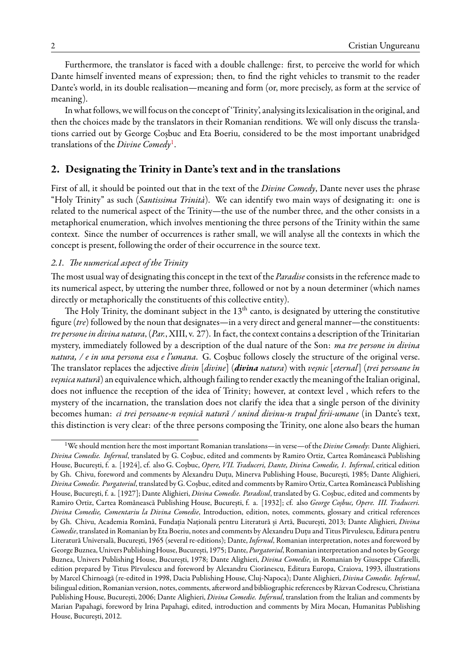Furthermore, the translator is faced with a double challenge: first, to perceive the world for which Dante himself invented means of expression; then, to find the right vehicles to transmit to the reader Dante's world, in its double realisation—meaning and form (or, more precisely, as form at the service of meaning).

In what follows, we will focus on the concept of 'Trinity', analysing its lexicalisation in the original, and then the choices made by the translators in their Romanian renditions. We will only discuss the translations carried out by George Coșbuc and Eta Boeriu, considered to be the most important unabridged translations of the *Divine Comedy*[1](#page-1-0) .

### **2. Designating the Trinity in Dante's text and in the translations**

First of all, it should be pointed out that in the text of the *Divine Comedy*, Dante never uses the phrase "Holy Trinity" as such (*Santissima Trinità*). We can identify two main ways of designating it: one is related to the numerical aspect of the Trinity—the use of the number three, and the other consists in a metaphorical enumeration, which involves mentioning the three persons of the Trinity within the same context. Since the number of occurrences is rather small, we will analyse all the contexts in which the concept is present, following the order of their occurrence in the source text.

#### *2.1. The numerical aspect of the Trinity*

The most usual way of designating this concept in the text of the *Paradise*consists in the reference made to its numerical aspect, by uttering the number three, followed or not by a noun determiner (which names directly or metaphorically the constituents of this collective entity).

The Holy Trinity, the dominant subject in the  $13<sup>th</sup>$  canto, is designated by uttering the constitutive figure (*tre*) followed by the noun that designates—in a very direct and general manner—the constituents: *tre persone in divina natura*, (*Par.*, XIII, v. 27). In fact, the context contains a description of the Trinitarian mystery, immediately followed by a description of the dual nature of the Son: *ma tre persone in divina natura, / e in una persona essa e l'umana*. G. Coșbuc follows closely the structure of the original verse. The translator replaces the adjective *divin* [*divine*] (*divina natura*) with *veșnic* [*eternal*] (*trei persoane în* veșnica natură) an equivalence which, although failing to render exactly the meaning of the Italian original, does not influence the reception of the idea of Trinity; however, at context level , which refers to the mystery of the incarnation, the translation does not clarify the idea that a single person of the divinity becomes human: *ci trei persoane-n veșnică natură / unind divinu-n trupul firii-umane* (in Dante's text, this distinction is very clear: of the three persons composing the Trinity, one alone also bears the human

<span id="page-1-0"></span><sup>1</sup>We should mention here the most important Romanian translations—in verse—of the *Divine Comedy*: Dante Alighieri, *Divina Comedie. Infernul*, translated by G. Coşbuc, edited and comments by Ramiro Ortiz, Cartea Românească Publishing House, București, f. a. [1924], cf. also G. Coșbuc, *Opere, VII. Traduceri, Dante, Divina Comedie, 1. Infernul*, critical edition by Gh. Chivu, foreword and comments by Alexandru Duțu, Minerva Publishing House, București, 1985; Dante Alighieri, *Divina Comedie. Purgatoriul*, translated by G. Coșbuc, edited and comments by Ramiro Ortiz, Cartea Românească Publishing House, București, f. a. [1927]; Dante Alighieri, *Divina Comedie. Paradisul*, translated by G. Coșbuc, edited and comments by Ramiro Ortiz, Cartea Românească Publishing House, București, f. a. [1932]; cf. also *George Coșbuc, Opere. III. Traduceri. Divina Comedie, Comentariu la Divina Comedie*, Introduction, edition, notes, comments, glossary and critical references by Gh. Chivu, Academia Română, Fundația Națională pentru Literatură și Artă, București, 2013; Dante Alighieri, *Divina Comedie*, translated in Romanian by Eta Boeriu, notes and comments by Alexandru Duțu and Titus Pîrvulescu, Editura pentru Literatură Universală, București, 1965 (several re-editions); Dante, *Infernul*, Romanian interpretation, notes and foreword by George Buznea, Univers Publishing House, București, 1975; Dante, *Purgatoriul*, Romanian interpretation and notes by George Buznea, Univers Publishing House, București, 1978; Dante Alighieri, *Divina Comedie*, in Romanian by Giuseppe Cifarelli, edition prepared by Titus Pîrvulescu and foreword by Alexandru Ciorănescu, Editura Europa, Craiova, 1993, illustrations by Marcel Chirnoagă (re-edited in 1998, Dacia Publishing House, Cluj-Napoca); Dante Alighieri, *Divina Comedie. Infernul*, bilingual edition, Romanian version, notes, comments, afterword and bibliographic references by Răzvan Codrescu, Christiana Publishing House, București, 2006; Dante Alighieri, *Divina Comedie. Infernul*, translation from the Italian and comments by Marian Papahagi, foreword by Irina Papahagi, edited, introduction and comments by Mira Mocan, Humanitas Publishing House, București, 2012.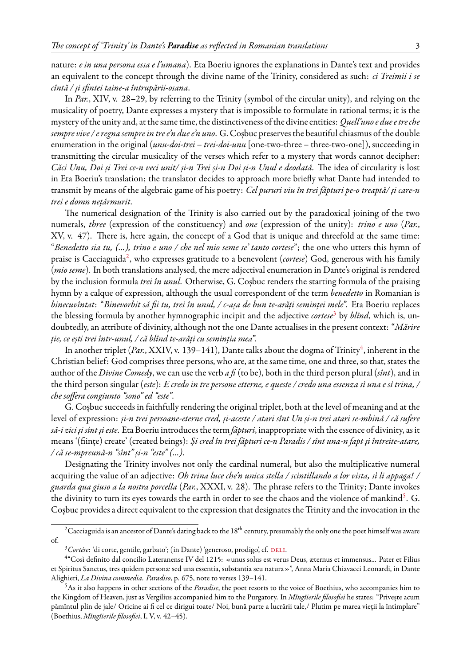nature: *e in una persona essa e l'umana*). Eta Boeriu ignores the explanations in Dante's text and provides an equivalent to the concept through the divine name of the Trinity, considered as such: *ci Treimii i se cîntă / și sfintei taine-a întrupării-osana*.

In *Par.*, XIV, v. 28–29, by referring to the Trinity (symbol of the circular unity), and relying on the musicality of poetry, Dante expresses a mystery that is impossible to formulate in rational terms; it is the mystery of the unity and, at the same time, the distinctiveness of the divine entities: *Quell'uno e due etre che sempre vive / e regna sempre in tre e'n due e'n uno*. G. Coșbuc preserves the beautiful chiasmus of the double enumeration in the original (*unu-doi-trei – trei-doi-unu* [one-two-three – three-two-one]), succeeding in transmitting the circular musicality of the verses which refer to a mystery that words cannot decipher: *Căci Unu, Doi și Trei ce-n veci unit/ și-n Trei și-n Doi și-n Unul e deodată*. The idea of circularity is lost in Eta Boeriu's translation; the translator decides to approach more briefly what Dante had intended to transmit by means of the algebraic game of his poetry: *Cel pururi viu în trei făpturi pe-o treaptă/ și care-n trei e domn nețărmurit*.

The numerical designation of the Trinity is also carried out by the paradoxical joining of the two numerals, *three* (expression of the constituency) and *one* (expression of the unity): *trino e uno* (*Par.*, XV, v. 47). There is, here again, the concept of a God that is unique and threefold at the same time: "*Benedetto sia tu, (...), trino e uno / che nel mio seme se' tanto cortese*"; the one who utters this hymn of praise is Cacciaguida<sup>[2](#page-2-0)</sup>, who expresses gratitude to a benevolent (*cortese*) God, generous with his family (*mio seme*). In both translations analysed, the mere adjectival enumeration in Dante's original is rendered by the inclusion formula *trei în unul*. Otherwise, G. Coșbuc renders the starting formula of the praising hymn by a calque of expression, although the usual correspondent of the term *benedetto* in Romanian is *binecuvîntat*: "*Binevorbit să fii tu, trei în unul, / c-așa de bun te-arăți seminței mele*". Eta Boeriu replaces the blessing formula by another hymnographic incipit and the adjective *cortese*[3](#page-2-1) by *blînd*, which is, undoubtedly, an attribute of divinity, although not the one Dante actualises in the present context: "*Mărire ție, ce ești trei într-unul, / că blînd te-arăți cu seminția mea*".

In another triplet (*Par*., XXIV, v. 139–1[4](#page-2-2)1), Dante talks about the dogma of Trinity<sup>4</sup>, inherent in the Christian belief: God comprises three persons, who are, at the same time, one and three, so that, states the author of the *Divine Comedy*, we can use the verb *a fi* (to be), both in the third person plural (*sînt*), and in the third person singular (*este*): *E credo in tre persone etterne, e queste / credo una essenza sì una e sì trina, / che soffera congiunto "sono" ed "este"*.

G. Coșbuc succeeds in faithfully rendering the original triplet, both at the level of meaning and at the level of expression: *și-n trei persoane-eterne cred, și-aceste / atari sînt Un și-n trei atari se-mbină / că sufere să-i zici și sînt și este*. Eta Boeriu introduces the term *făpturi*, inappropriate with the essence of divinity, as it means '(ființe) create' (created beings): *Și cred în trei făpturi ce-n Paradis / sînt una-n fapt și întreite-atare, / că se-mpreună-n "sînt" și-n "este" (...)*.

Designating the Trinity involves not only the cardinal numeral, but also the multiplicative numeral acquiring the value of an adjective: *Oh trina luce che'n unica stella / scintillando a lor vista, sì li appaga! / guarda qua giuso a la nostra porcella* (*Par.*, XXXI, v. 28). The phrase refers to the Trinity; Dante invokes the divinity to turn its eyes towards the earth in order to see the chaos and the violence of mankind<sup>[5](#page-2-3)</sup>. G. Coșbuc provides a direct equivalent to the expression that designates the Trinity and the invocation in the

<span id="page-2-0"></span><sup>&</sup>lt;sup>2</sup>Cacciaguida is an ancestor of Dante's dating back to the 18<sup>th</sup> century, presumably the only one the poet himself was aware of.

<span id="page-2-2"></span><span id="page-2-1"></span><sup>&</sup>lt;sup>3</sup> Cortése: 'di corte, gentile, garbato'; (in Dante) 'generoso, prodigo', cf. DELI.

<sup>4</sup> "Così definito dal concilio Lateranense IV del 1215: «unus solus est verus Deus, æternus et immensus... Pater et Filius et Spiritus Sanctus, tres quidem personæ sed una essentia, substantia seu natura»", Anna Maria Chiavacci Leonardi, in Dante Alighieri, *La Divina commedia. Paradiso*, p. 675, note to verses 139–141.

<span id="page-2-3"></span><sup>5</sup>As it also happens in other sections of the *Paradise*, the poet resorts to the voice of Boethius, who accompanies him to the Kingdom of Heaven, just as Vergilius accompanied him to the Purgatory. In *Mîngîierile filosofiei* he states: "Privește acum pămîntul plin de jale/ Oricine ai fi cel ce dirigui toate/ Noi, bună parte a lucrării tale,/ Plutim pe marea vieții la întîmplare" (Boethius, *Mîngîierile filosofiei*, I, V, v. 42–45).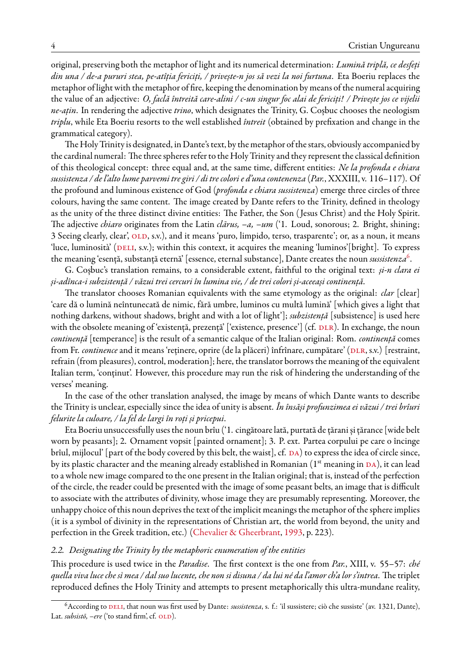original, preserving both the metaphor of light and its numerical determination: *Lumină triplă, ce desfeți din una / de-a pururi stea, pe-atîția fericiți, / privește-n jos să vezi la noi furtuna*. Eta Boeriu replaces the metaphor of light with the metaphor of fire, keeping the denomination by means of the numeral acquiring the value of an adjective: *O, faclă întreită care-alini / c-un singur foc alai de fericiți! / Privește jos ce vijelii ne-ațin*. In rendering the adjective *trino*, which designates the Trinity, G. Coșbuc chooses the neologism *triplu*, while Eta Boeriu resorts to the well established *întreit* (obtained by prefixation and change in the grammatical category).

The Holy Trinity is designated, in Dante's text, by the metaphor of the stars, obviously accompanied by the cardinal numeral: The three spheres refer to the Holy Trinity and they represent the classical definition of this theological concept: three equal and, at the same time, different entities: *Ne la profonda e chiara sussistenza / de l'alto lume parvemi tre giri / di tre colori e d'una contenenza* (*Par.*, XXXIII, v. 116–117). Of the profound and luminous existence of God (*profonda e chiara sussistenza*) emerge three circles of three colours, having the same content. The image created by Dante refers to the Trinity, defined in theology as the unity of the three distinct divine entities: The Father, the Son ( Jesus Christ) and the Holy Spirit. The adjective *chiaro* originates from the Latin *clārus, –a, –um* ('1. Loud, sonorous; 2. Bright, shining; 3 Seeing clearly, clear', OLD, s.v.), and it means 'puro, limpido, terso, trasparente'; or, as a noun, it means 'luce,luminosità' (DELI, s.v.); within this context, it acquires the meaning 'luminos'[bright]. To express the meaning 'esență, substanță eternă' [essence, eternal substance], Dante creates the noun *sussistenza*[6](#page-3-0) .

G. Coșbuc's translation remains, to a considerable extent, faithful to the original text: *și-n clara ei și-adînca-i subzistență / văzui trei cercuri în lumina vie, / de trei colori și-aceeași continență*.

The translator chooses Romanian equivalents with the same etymology as the original: *clar* [clear] 'care dă o lumină neîntunecată de nimic, fără umbre, luminos cu multă lumină' [which gives a light that nothing darkens, without shadows, bright and with a lot of light']; *subzistență* [subsistence] is used here with the obsolete meaning of 'existență, prezență' ['existence, presence'] (cf. DLR). In exchange, the noun *continență* [temperance] is the result of a semantic calque of the Italian original: Rom. *continență* comes fromFr. *continence* and it means 'reținere, oprire (de la plăceri) înfrînare, cumpătare' (DLR, s.v.) [restraint, refrain (from pleasures), control, moderation]; here, the translator borrows the meaning of the equivalent Italian term, 'conținut'. However, this procedure may run the risk of hindering the understanding of the verses' meaning.

In the case of the other translation analysed, the image by means of which Dante wants to describe the Trinity is unclear, especially since the idea of unity is absent. *În însăși profunzimea ei văzui / trei brîuri felurite la culoare, / la fel de largi în roți și pricepui*.

Eta Boeriu unsuccessfully uses the noun brîu ('1. cingătoare lată, purtată de țărani și țărance [wide belt worn by peasants]; 2. Ornament vopsit [painted ornament]; 3. P. ext. Partea corpului pe care o încinge brîul, mijlocul' [part of the body covered by this belt, the waist], cf. DA) to express the idea of circle since, by its plastic character and the meaning already established in Romanian  $(1<sup>st</sup>$  meaning in DA), it can lead to a whole new image compared to the one present in the Italian original; that is, instead of the perfection of the circle, the reader could be presented with the image of some peasant belts, an image that is difficult to associate with the attributes of divinity, whose image they are presumably representing. Moreover, the unhappy choice of this noun deprives the text of the implicit meanings the metaphor of the sphere implies (it is a symbol of divinity in the representations of Christian art, the world from beyond, the unity and perfection in the Greek tradition, etc.)([Chevalier & Gheerbrant](#page-5-5), [1993,](#page-5-5) p. 223).

#### *2.2. Designating the Trinity by the metaphoric enumeration of the entities*

This procedure is used twice in the *Paradise*. The first context is the one from *Par.*, XIII, v. 55–57: *ché quella viva luce che sì mea / dal suo lucente, che non si disuna / da lui né da l'amor ch'a lor s'intrea*. The triplet reproduced defines the Holy Trinity and attempts to present metaphorically this ultra-mundane reality,

<span id="page-3-0"></span><sup>&</sup>lt;sup>6</sup> According to DELI, that noun was first used by Dante: *sussistenza*, s. f.: 'il sussistere; ciò che sussiste' (av. 1321, Dante), Lat. *subsistō*,  $-ere$  ('to stand firm', cf. OLD).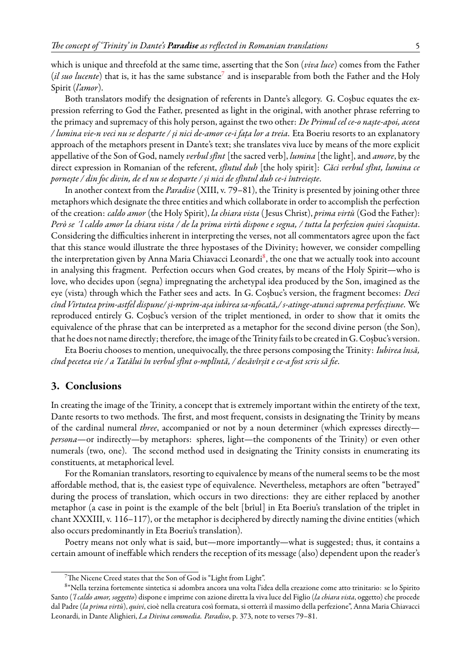which is unique and threefold at the same time, asserting that the Son (*viva luce*) comes from the Father (*il suo lucente*) that is, it has the same substance<sup>[7](#page-4-0)</sup> and is inseparable from both the Father and the Holy Spirit (*l'amor*).

Both translators modify the designation of referents in Dante's allegory. G. Coșbuc equates the expression referring to God the Father, presented as light in the original, with another phrase referring to the primacy and supremacy of this holy person, against the two other: *De Primul cel ce-o naște-apoi, aceea / lumina vie-n veci nu se desparte / și nici de-amor ce-i fața lor a treia*. Eta Boeriu resorts to an explanatory approach of the metaphors present in Dante's text; she translates viva luce by means of the more explicit appellative of the Son of God, namely *verbul sfînt* [the sacred verb], *lumina* [the light], and *amore*, by the direct expression in Romanian of the referent, *sfîntul duh* [the holy spirit]: *Căci verbul sfînt, lumina ce pornește / din foc divin, de el nu se desparte / și nici de sfîntul duh ce-i întreiește*.

In another context from the *Paradise* (XIII, v. 79–81), the Trinity is presented by joining other three metaphors which designate the three entities and which collaborate in order to accomplish the perfection of the creation: *caldo amor* (the Holy Spirit), *la chiara vista* ( Jesus Christ), *prima virtù* (God the Father): *Però se ´l caldo amor la chiara vista / de la prima virtù dispone e segna, / tutta la perfezion quivi s'acquista*. Considering the difficulties inherent in interpreting the verses, not all commentators agree upon the fact that this stance would illustrate the three hypostases of the Divinity; however, we consider compelling the interpretation given by Anna Maria Chiavacci Leonardi<sup>[8](#page-4-1)</sup>, the one that we actually took into account in analysing this fragment. Perfection occurs when God creates, by means of the Holy Spirit—who is love, who decides upon (segna) impregnating the archetypal idea produced by the Son, imagined as the eye (vista) through which the Father sees and acts. In G. Coșbuc's version, the fragment becomes: *Deci cînd Virtutea prim-astfel dispune/ și-mprim-așa iubirea sa-nfocată,/ s-atinge-atunci suprema perfecțiune*. We reproduced entirely G. Coșbuc's version of the triplet mentioned, in order to show that it omits the equivalence of the phrase that can be interpreted as a metaphor for the second divine person (the Son), that he does not name directly; therefore, the image of the Trinityfails to be created in G. Coșbuc's version.

Eta Boeriu chooses to mention, unequivocally, the three persons composing the Trinity: *Iubirea însă, cînd pecetea vie / a Tatălui în verbul sfînt o-mplîntă, / desăvîrșit e ce-a fost scris să fie*.

## **3. Conclusions**

In creating the image of the Trinity, a concept that is extremely important within the entirety of the text, Dante resorts to two methods. The first, and most frequent, consists in designating the Trinity by means of the cardinal numeral *three*, accompanied or not by a noun determiner (which expresses directly *persona*—or indirectly—by metaphors: spheres, light—the components of the Trinity) or even other numerals (two, one). The second method used in designating the Trinity consists in enumerating its constituents, at metaphorical level.

For the Romanian translators, resorting to equivalence by means of the numeral seems to be the most affordable method, that is, the easiest type of equivalence. Nevertheless, metaphors are often "betrayed" during the process of translation, which occurs in two directions: they are either replaced by another metaphor (a case in point is the example of the belt [brîul] in Eta Boeriu's translation of the triplet in chant XXXIII, v. 116–117), or the metaphor is deciphered by directly naming the divine entities (which also occurs predominantly in Eta Boeriu's translation).

Poetry means not only what is said, but—more importantly—what is suggested; thus, it contains a certain amount of ineffable which renders the reception of its message (also) dependent upon the reader's

<span id="page-4-1"></span><span id="page-4-0"></span><sup>7</sup>The Nicene Creed states that the Son of God is "Light from Light".

<sup>8</sup> "Nella terzina fortemente sintetica si adombra ancora una volta l'idea della creazione come atto trinitario: se lo Spirito Santo (*'l caldo amor, soggetto*) dispone e imprime con azione diretta la viva luce del Figlio (*la chiara vista*, oggetto) che procede dal Padre (*la prima virtù*), *quivi*, cioè nella creatura così formata, si otterrà il massimo della perfezione", Anna Maria Chiavacci Leonardi, in Dante Alighieri, *La Divina commedia. Paradiso*, p. 373, note to verses 79–81.